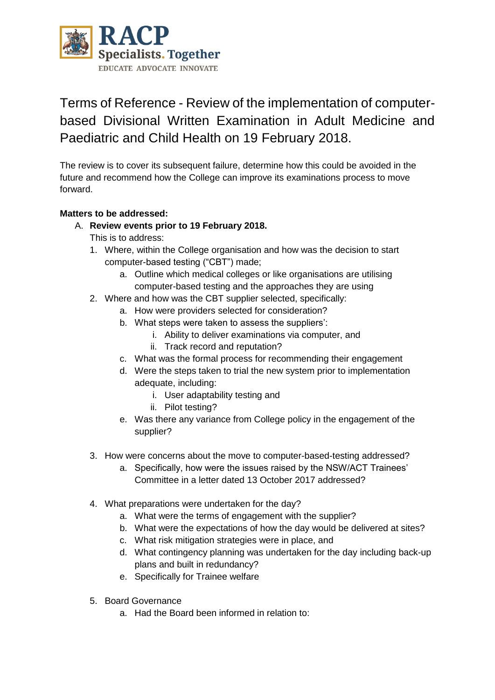

# Terms of Reference - Review of the implementation of computerbased Divisional Written Examination in Adult Medicine and Paediatric and Child Health on 19 February 2018.

The review is to cover its subsequent failure, determine how this could be avoided in the future and recommend how the College can improve its examinations process to move forward.

## **Matters to be addressed:**

## A. **Review events prior to 19 February 2018.**

This is to address:

- 1. Where, within the College organisation and how was the decision to start computer-based testing ("CBT") made;
	- a. Outline which medical colleges or like organisations are utilising computer-based testing and the approaches they are using
- 2. Where and how was the CBT supplier selected, specifically:
	- a. How were providers selected for consideration?
	- b. What steps were taken to assess the suppliers':
		- i. Ability to deliver examinations via computer, and
		- ii. Track record and reputation?
	- c. What was the formal process for recommending their engagement
	- d. Were the steps taken to trial the new system prior to implementation adequate, including:
		- i. User adaptability testing and
		- ii. Pilot testing?
	- e. Was there any variance from College policy in the engagement of the supplier?
- 3. How were concerns about the move to computer-based-testing addressed?
	- a. Specifically, how were the issues raised by the NSW/ACT Trainees' Committee in a letter dated 13 October 2017 addressed?
- 4. What preparations were undertaken for the day?
	- a. What were the terms of engagement with the supplier?
	- b. What were the expectations of how the day would be delivered at sites?
	- c. What risk mitigation strategies were in place, and
	- d. What contingency planning was undertaken for the day including back-up plans and built in redundancy?
	- e. Specifically for Trainee welfare
- 5. Board Governance
	- a. Had the Board been informed in relation to: